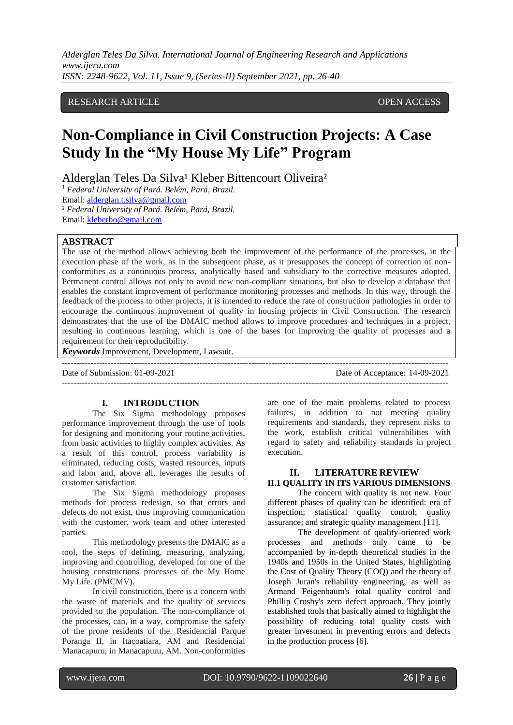# RESEARCH ARTICLE **OPEN ACCESS**

# **Non-Compliance in Civil Construction Projects: A Case Study In the "My House My Life" Program**

Alderglan Teles Da Silva<sup>1</sup> Kleber Bittencourt Oliveira<sup>2</sup>

<sup>1</sup> *Federal University of Pará. Belém, Pará, Brazil.* Email: [alderglan.t.silva@gmail.com](mailto:alderglan.t.silva@gmail.com) ² *Federal University of Pará. Belém, Pará, Brazil.* Email: [kleberbo@gmail.com](mailto:kleberbo@gmail.com)

# **ABSTRACT**

The use of the method allows achieving both the improvement of the performance of the processes, in the execution phase of the work, as in the subsequent phase, as it presupposes the concept of correction of nonconformities as a continuous process, analytically based and subsidiary to the corrective measures adopted. Permanent control allows not only to avoid new non-compliant situations, but also to develop a database that enables the constant improvement of performance monitoring processes and methods. In this way, through the feedback of the process to other projects, it is intended to reduce the rate of construction pathologies in order to encourage the continuous improvement of quality in housing projects in Civil Construction. The research demonstrates that the use of the DMAIC method allows to improve procedures and techniques in a project, resulting in continuous learning, which is one of the bases for improving the quality of processes and a requirement for their reproducibility.

---------------------------------------------------------------------------------------------------------------------------------------

*Keywords* Improvement, Development, Lawsuit.

Date of Submission: 01-09-2021 Date of Acceptance: 14-09-2021

---------------------------------------------------------------------------------------------------------------------------------------

# **I. INTRODUCTION**

The Six Sigma methodology proposes performance improvement through the use of tools for designing and monitoring your routine activities, from basic activities to highly complex activities. As a result of this control, process variability is eliminated, reducing costs, wasted resources, inputs and labor and, above all, leverages the results of customer satisfaction.

The Six Sigma methodology proposes methods for process redesign, so that errors and defects do not exist, thus improving communication with the customer, work team and other interested parties.

This methodology presents the DMAIC as a tool, the steps of defining, measuring, analyzing, improving and controlling, developed for one of the housing constructions processes of the My Home My Life. (PMCMV).

In civil construction, there is a concern with the waste of materials and the quality of services provided to the population. The non-compliance of the processes, can, in a way, compromise the safety of the prone residents of the. Residencial Parque Poranga II, in Itacoatiara, AM and Residencial Manacapuru, in Manacapuru, AM. Non-conformities are one of the main problems related to process failures, in addition to not meeting quality requirements and standards, they represent risks to the work, establish critical vulnerabilities with regard to safety and reliability standards in project execution.

#### **II. LITERATURE REVIEW II.1 QUALITY IN ITS VARIOUS DIMENSIONS**

The concern with quality is not new. Four different phases of quality can be identified: era of inspection; statistical quality control; quality assurance; and strategic quality management [11].

The development of quality-oriented work processes and methods only came to be accompanied by in-depth theoretical studies in the 1940s and 1950s in the United States, highlighting the Cost of Quality Theory (COQ) and the theory of Joseph Juran's reliability engineering, as well as Armand Feigenbaum's total quality control and Phillip Crosby's zero defect approach. They jointly established tools that basically aimed to highlight the possibility of reducing total quality costs with greater investment in preventing errors and defects in the production process [6].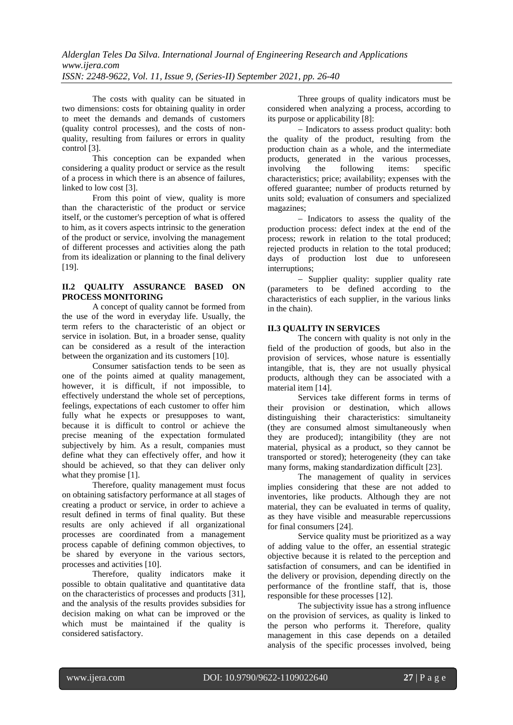The costs with quality can be situated in two dimensions: costs for obtaining quality in order to meet the demands and demands of customers (quality control processes), and the costs of nonquality, resulting from failures or errors in quality control [3].

This conception can be expanded when considering a quality product or service as the result of a process in which there is an absence of failures, linked to low cost [3].

From this point of view, quality is more than the characteristic of the product or service itself, or the customer's perception of what is offered to him, as it covers aspects intrinsic to the generation of the product or service, involving the management of different processes and activities along the path from its idealization or planning to the final delivery [19].

# **II.2 QUALITY ASSURANCE BASED ON PROCESS MONITORING**

A concept of quality cannot be formed from the use of the word in everyday life. Usually, the term refers to the characteristic of an object or service in isolation. But, in a broader sense, quality can be considered as a result of the interaction between the organization and its customers [10].

Consumer satisfaction tends to be seen as one of the points aimed at quality management, however, it is difficult, if not impossible, to effectively understand the whole set of perceptions, feelings, expectations of each customer to offer him fully what he expects or presupposes to want, because it is difficult to control or achieve the precise meaning of the expectation formulated subjectively by him. As a result, companies must define what they can effectively offer, and how it should be achieved, so that they can deliver only what they promise [1].

Therefore, quality management must focus on obtaining satisfactory performance at all stages of creating a product or service, in order to achieve a result defined in terms of final quality. But these results are only achieved if all organizational processes are coordinated from a management process capable of defining common objectives, to be shared by everyone in the various sectors, processes and activities [10].

Therefore, quality indicators make it possible to obtain qualitative and quantitative data on the characteristics of processes and products [31], and the analysis of the results provides subsidies for decision making on what can be improved or the which must be maintained if the quality is considered satisfactory.

Three groups of quality indicators must be considered when analyzing a process, according to its purpose or applicability [8]:

- Indicators to assess product quality: both the quality of the product, resulting from the production chain as a whole, and the intermediate products, generated in the various processes,<br>involving the following items: specific involving the following items: specific characteristics; price; availability; expenses with the offered guarantee; number of products returned by units sold; evaluation of consumers and specialized magazines;

- Indicators to assess the quality of the production process: defect index at the end of the process; rework in relation to the total produced; rejected products in relation to the total produced; days of production lost due to unforeseen interruptions;

- Supplier quality: supplier quality rate (parameters to be defined according to the characteristics of each supplier, in the various links in the chain).

# **II.3 QUALITY IN SERVICES**

The concern with quality is not only in the field of the production of goods, but also in the provision of services, whose nature is essentially intangible, that is, they are not usually physical products, although they can be associated with a material item [14].

Services take different forms in terms of their provision or destination, which allows distinguishing their characteristics: simultaneity (they are consumed almost simultaneously when they are produced); intangibility (they are not material, physical as a product, so they cannot be transported or stored); heterogeneity (they can take many forms, making standardization difficult [23].

The management of quality in services implies considering that these are not added to inventories, like products. Although they are not material, they can be evaluated in terms of quality, as they have visible and measurable repercussions for final consumers [24].

Service quality must be prioritized as a way of adding value to the offer, an essential strategic objective because it is related to the perception and satisfaction of consumers, and can be identified in the delivery or provision, depending directly on the performance of the frontline staff, that is, those responsible for these processes [12].

The subjectivity issue has a strong influence on the provision of services, as quality is linked to the person who performs it. Therefore, quality management in this case depends on a detailed analysis of the specific processes involved, being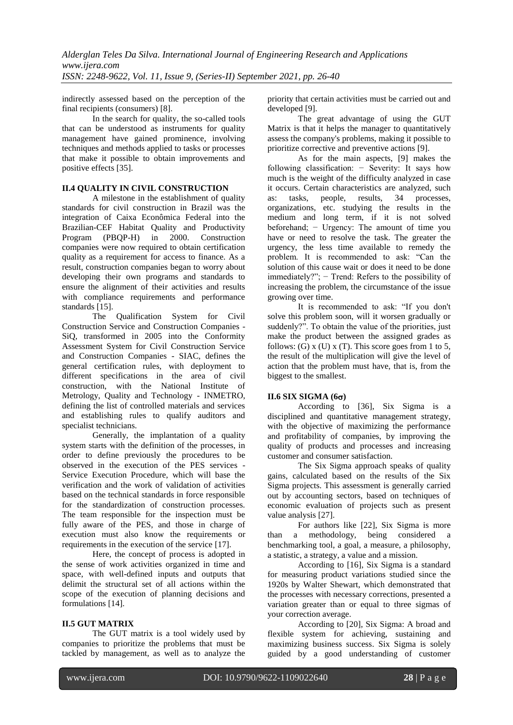indirectly assessed based on the perception of the final recipients (consumers) [8].

In the search for quality, the so-called tools that can be understood as instruments for quality management have gained prominence, involving techniques and methods applied to tasks or processes that make it possible to obtain improvements and positive effects [35].

## **II.4 QUALITY IN CIVIL CONSTRUCTION**

A milestone in the establishment of quality standards for civil construction in Brazil was the integration of Caixa Econômica Federal into the Brazilian-CEF Habitat Quality and Productivity<br>Program (PBQP-H) in 2000. Construction Program (PBQP-H) in 2000. Construction companies were now required to obtain certification quality as a requirement for access to finance. As a result, construction companies began to worry about developing their own programs and standards to ensure the alignment of their activities and results with compliance requirements and performance standards [15].

The Qualification System for Civil Construction Service and Construction Companies - SiQ, transformed in 2005 into the Conformity Assessment System for Civil Construction Service and Construction Companies - SIAC, defines the general certification rules, with deployment to different specifications in the area of civil construction, with the National Institute of Metrology, Quality and Technology - INMETRO, defining the list of controlled materials and services and establishing rules to qualify auditors and specialist technicians.

Generally, the implantation of a quality system starts with the definition of the processes, in order to define previously the procedures to be observed in the execution of the PES services - Service Execution Procedure, which will base the verification and the work of validation of activities based on the technical standards in force responsible for the standardization of construction processes. The team responsible for the inspection must be fully aware of the PES, and those in charge of execution must also know the requirements or requirements in the execution of the service [17].

Here, the concept of process is adopted in the sense of work activities organized in time and space, with well-defined inputs and outputs that delimit the structural set of all actions within the scope of the execution of planning decisions and formulations [14].

## **II.5 GUT MATRIX**

The GUT matrix is a tool widely used by companies to prioritize the problems that must be tackled by management, as well as to analyze the

priority that certain activities must be carried out and developed [9].

The great advantage of using the GUT Matrix is that it helps the manager to quantitatively assess the company's problems, making it possible to prioritize corrective and preventive actions [9].

As for the main aspects, [9] makes the following classification: − Severity: It says how much is the weight of the difficulty analyzed in case it occurs. Certain characteristics are analyzed, such as: tasks, people, results, 34 processes, organizations, etc. studying the results in the medium and long term, if it is not solved beforehand; − Urgency: The amount of time you have or need to resolve the task. The greater the urgency, the less time available to remedy the problem. It is recommended to ask: "Can the solution of this cause wait or does it need to be done immediately?"; − Trend: Refers to the possibility of increasing the problem, the circumstance of the issue growing over time.

It is recommended to ask: "If you don't solve this problem soon, will it worsen gradually or suddenly?". To obtain the value of the priorities, just make the product between the assigned grades as follows: (G) x (U) x (T). This score goes from 1 to 5, the result of the multiplication will give the level of action that the problem must have, that is, from the biggest to the smallest.

# **II.6 SIX SIGMA (6)**

According to [36], Six Sigma is a disciplined and quantitative management strategy, with the objective of maximizing the performance and profitability of companies, by improving the quality of products and processes and increasing customer and consumer satisfaction.

The Six Sigma approach speaks of quality gains, calculated based on the results of the Six Sigma projects. This assessment is generally carried out by accounting sectors, based on techniques of economic evaluation of projects such as present value analysis [27].

For authors like [22], Six Sigma is more than a methodology, being considered a benchmarking tool, a goal, a measure, a philosophy, a statistic, a strategy, a value and a mission.

According to [16], Six Sigma is a standard for measuring product variations studied since the 1920s by Walter Shewart, which demonstrated that the processes with necessary corrections, presented a variation greater than or equal to three sigmas of your correction average.

According to [20], Six Sigma: A broad and flexible system for achieving, sustaining and maximizing business success. Six Sigma is solely guided by a good understanding of customer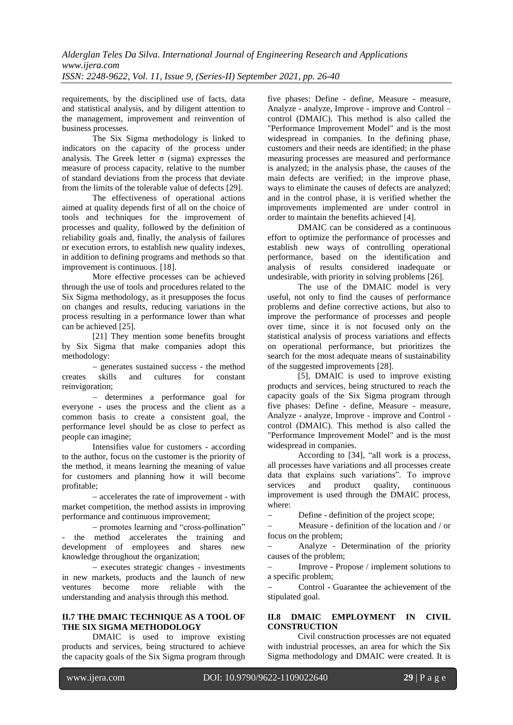requirements, by the disciplined use of facts, data and statistical analysis, and by diligent attention to the management, improvement and reinvention of business processes.

The Six Sigma methodology is linked to indicators on the capacity of the process under analysis. The Greek letter  $\sigma$  (sigma) expresses the measure of process capacity, relative to the number of standard deviations from the process that deviate from the limits of the tolerable value of defects [29].

The effectiveness of operational actions aimed at quality depends first of all on the choice of tools and techniques for the improvement of processes and quality, followed by the definition of reliability goals and, finally, the analysis of failures or execution errors, to establish new quality indexes, in addition to defining programs and methods so that improvement is continuous. [18].

More effective processes can be achieved through the use of tools and procedures related to the Six Sigma methodology, as it presupposes the focus on changes and results, reducing variations in the process resulting in a performance lower than what can be achieved [25].

[21] They mention some benefits brought by Six Sigma that make companies adopt this methodology:

 generates sustained success - the method creates skills and cultures for constant reinvigoration;

- determines a performance goal for everyone - uses the process and the client as a common basis to create a consistent goal, the performance level should be as close to perfect as people can imagine;

Intensifies value for customers - according to the author, focus on the customer is the priority of the method, it means learning the meaning of value for customers and planning how it will become profitable;

 accelerates the rate of improvement - with market competition, the method assists in improving performance and continuous improvement;

– promotes learning and "cross-pollination" - the method accelerates the training and development of employees and shares new knowledge throughout the organization;

 executes strategic changes - investments in new markets, products and the launch of new ventures become more reliable with the understanding and analysis through this method.

# **II.7 THE DMAIC TECHNIQUE AS A TOOL OF THE SIX SIGMA METHODOLOGY**

DMAIC is used to improve existing products and services, being structured to achieve the capacity goals of the Six Sigma program through

five phases: Define - define, Measure - measure, Analyze - analyze, Improve - improve and Control – control (DMAIC). This method is also called the "Performance Improvement Model" and is the most widespread in companies. In the defining phase, customers and their needs are identified; in the phase measuring processes are measured and performance is analyzed; in the analysis phase, the causes of the main defects are verified; in the improve phase, ways to eliminate the causes of defects are analyzed; and in the control phase, it is verified whether the improvements implemented are under control in order to maintain the benefits achieved [4].

DMAIC can be considered as a continuous effort to optimize the performance of processes and establish new ways of controlling operational performance, based on the identification and analysis of results considered inadequate or undesirable, with priority in solving problems [26].

The use of the DMAIC model is very useful, not only to find the causes of performance problems and define corrective actions, but also to improve the performance of processes and people over time, since it is not focused only on the statistical analysis of process variations and effects on operational performance, but prioritizes the search for the most adequate means of sustainability of the suggested improvements [28].

[5], DMAIC is used to improve existing products and services, being structured to reach the capacity goals of the Six Sigma program through five phases: Define - define, Measure - measure, Analyze - analyze, Improve - improve and Control control (DMAIC). This method is also called the "Performance Improvement Model" and is the most widespread in companies.

According to [34], "all work is a process, all processes have variations and all processes create data that explains such variations". To improve<br>services and product quality, continuous continuous improvement is used through the DMAIC process, where:

Define - definition of the project scope;

 Measure - definition of the location and / or focus on the problem;

 Analyze - Determination of the priority causes of the problem;

 Improve - Propose / implement solutions to a specific problem;

 Control - Guarantee the achievement of the stipulated goal.

## **II.8 DMAIC EMPLOYMENT IN CIVIL CONSTRUCTION**

Civil construction processes are not equated with industrial processes, an area for which the Six Sigma methodology and DMAIC were created. It is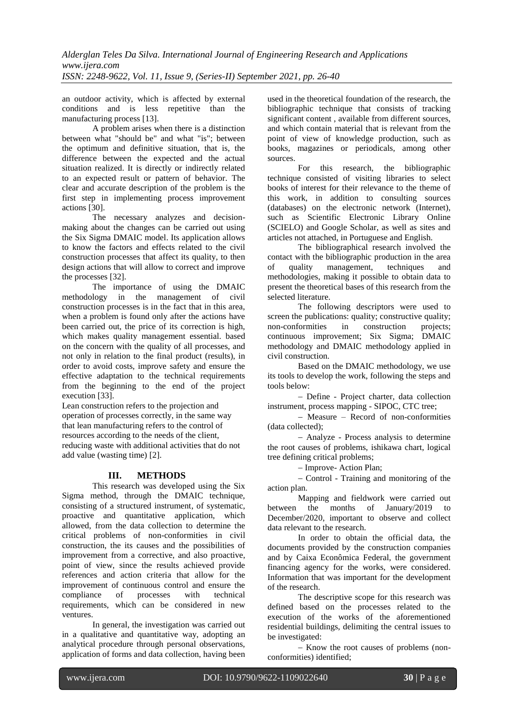an outdoor activity, which is affected by external conditions and is less repetitive than the manufacturing process [13].

A problem arises when there is a distinction between what "should be" and what "is"; between the optimum and definitive situation, that is, the difference between the expected and the actual situation realized. It is directly or indirectly related to an expected result or pattern of behavior. The clear and accurate description of the problem is the first step in implementing process improvement actions [30].

The necessary analyzes and decisionmaking about the changes can be carried out using the Six Sigma DMAIC model. Its application allows to know the factors and effects related to the civil construction processes that affect its quality, to then design actions that will allow to correct and improve the processes [32].

The importance of using the DMAIC methodology in the management of civil construction processes is in the fact that in this area, when a problem is found only after the actions have been carried out, the price of its correction is high, which makes quality management essential. based on the concern with the quality of all processes, and not only in relation to the final product (results), in order to avoid costs, improve safety and ensure the effective adaptation to the technical requirements from the beginning to the end of the project execution [33].

Lean construction refers to the projection and operation of processes correctly, in the same way that lean manufacturing refers to the control of resources according to the needs of the client, reducing waste with additional activities that do not add value (wasting time) [2].

# **III. METHODS**

This research was developed using the Six Sigma method, through the DMAIC technique, consisting of a structured instrument, of systematic, proactive and quantitative application, which allowed, from the data collection to determine the critical problems of non-conformities in civil construction, the its causes and the possibilities of improvement from a corrective, and also proactive, point of view, since the results achieved provide references and action criteria that allow for the improvement of continuous control and ensure the compliance of processes with technical requirements, which can be considered in new ventures.

In general, the investigation was carried out in a qualitative and quantitative way, adopting an analytical procedure through personal observations, application of forms and data collection, having been

used in the theoretical foundation of the research, the bibliographic technique that consists of tracking significant content , available from different sources, and which contain material that is relevant from the point of view of knowledge production, such as books, magazines or periodicals, among other sources.

For this research, the bibliographic technique consisted of visiting libraries to select books of interest for their relevance to the theme of this work, in addition to consulting sources (databases) on the electronic network (Internet), such as Scientific Electronic Library Online (SCIELO) and Google Scholar, as well as sites and articles not attached, in Portuguese and English.

The bibliographical research involved the contact with the bibliographic production in the area of quality management, techniques and methodologies, making it possible to obtain data to present the theoretical bases of this research from the selected literature.

The following descriptors were used to screen the publications: quality; constructive quality;<br>non-conformities in construction projects: non-conformities in construction projects; continuous improvement; Six Sigma; DMAIC methodology and DMAIC methodology applied in civil construction.

Based on the DMAIC methodology, we use its tools to develop the work, following the steps and tools below:

 Define - Project charter, data collection instrument, process mapping - SIPOC, CTC tree;

 Measure – Record of non-conformities (data collected);

 Analyze - Process analysis to determine the root causes of problems, ishikawa chart, logical tree defining critical problems;

- Improve- Action Plan;

 Control - Training and monitoring of the action plan.

Mapping and fieldwork were carried out between the months of January/2019 to December/2020, important to observe and collect data relevant to the research.

In order to obtain the official data, the documents provided by the construction companies and by Caixa Econômica Federal, the government financing agency for the works, were considered. Information that was important for the development of the research.

The descriptive scope for this research was defined based on the processes related to the execution of the works of the aforementioned residential buildings, delimiting the central issues to be investigated:

- Know the root causes of problems (nonconformities) identified;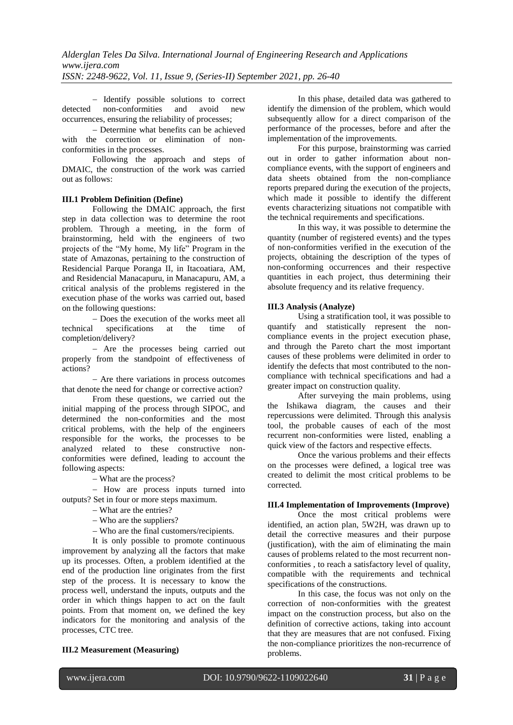- Identify possible solutions to correct<br>non-conformities and avoid new detected non-conformities and avoid new occurrences, ensuring the reliability of processes;

 Determine what benefits can be achieved with the correction or elimination of nonconformities in the processes.

Following the approach and steps of DMAIC, the construction of the work was carried out as follows:

## **III.1 Problem Definition (Define)**

Following the DMAIC approach, the first step in data collection was to determine the root problem. Through a meeting, in the form of brainstorming, held with the engineers of two projects of the "My home, My life" Program in the state of Amazonas, pertaining to the construction of Residencial Parque Poranga II, in Itacoatiara, AM, and Residencial Manacapuru, in Manacapuru, AM, a critical analysis of the problems registered in the execution phase of the works was carried out, based on the following questions:

- Does the execution of the works meet all<br>technical specifications at the time of specifications at the time of completion/delivery?

- Are the processes being carried out properly from the standpoint of effectiveness of actions?

 Are there variations in process outcomes that denote the need for change or corrective action?

From these questions, we carried out the initial mapping of the process through SIPOC, and determined the non-conformities and the most critical problems, with the help of the engineers responsible for the works, the processes to be analyzed related to these constructive nonconformities were defined, leading to account the following aspects:

What are the process?

- How are process inputs turned into outputs? Set in four or more steps maximum.

What are the entries?

- Who are the suppliers?

Who are the final customers/recipients.

It is only possible to promote continuous improvement by analyzing all the factors that make up its processes. Often, a problem identified at the end of the production line originates from the first step of the process. It is necessary to know the process well, understand the inputs, outputs and the order in which things happen to act on the fault points. From that moment on, we defined the key indicators for the monitoring and analysis of the processes, CTC tree.

## **III.2 Measurement (Measuring)**

In this phase, detailed data was gathered to identify the dimension of the problem, which would subsequently allow for a direct comparison of the performance of the processes, before and after the implementation of the improvements.

For this purpose, brainstorming was carried out in order to gather information about noncompliance events, with the support of engineers and data sheets obtained from the non-compliance reports prepared during the execution of the projects, which made it possible to identify the different events characterizing situations not compatible with the technical requirements and specifications.

In this way, it was possible to determine the quantity (number of registered events) and the types of non-conformities verified in the execution of the projects, obtaining the description of the types of non-conforming occurrences and their respective quantities in each project, thus determining their absolute frequency and its relative frequency.

## **III.3 Analysis (Analyze)**

Using a stratification tool, it was possible to quantify and statistically represent the noncompliance events in the project execution phase, and through the Pareto chart the most important causes of these problems were delimited in order to identify the defects that most contributed to the noncompliance with technical specifications and had a greater impact on construction quality.

After surveying the main problems, using the Ishikawa diagram, the causes and their repercussions were delimited. Through this analysis tool, the probable causes of each of the most recurrent non-conformities were listed, enabling a quick view of the factors and respective effects.

Once the various problems and their effects on the processes were defined, a logical tree was created to delimit the most critical problems to be corrected.

## **III.4 Implementation of Improvements (Improve)**

Once the most critical problems were identified, an action plan, 5W2H, was drawn up to detail the corrective measures and their purpose (justification), with the aim of eliminating the main causes of problems related to the most recurrent nonconformities , to reach a satisfactory level of quality, compatible with the requirements and technical specifications of the constructions.

In this case, the focus was not only on the correction of non-conformities with the greatest impact on the construction process, but also on the definition of corrective actions, taking into account that they are measures that are not confused. Fixing the non-compliance prioritizes the non-recurrence of problems.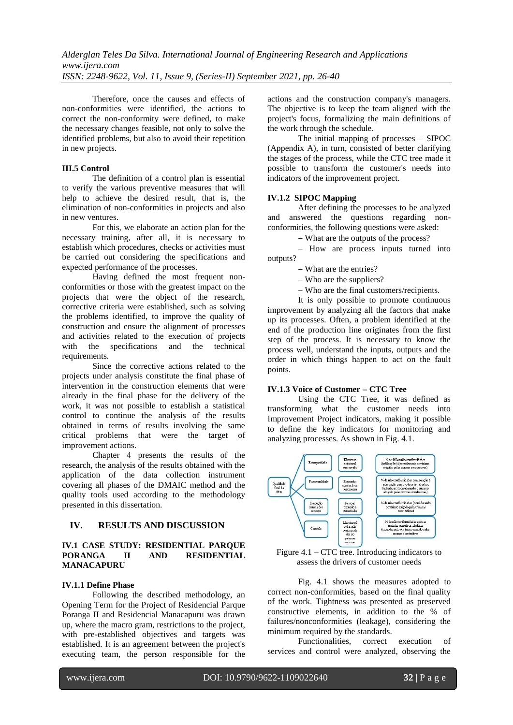Therefore, once the causes and effects of non-conformities were identified, the actions to correct the non-conformity were defined, to make the necessary changes feasible, not only to solve the identified problems, but also to avoid their repetition in new projects.

# **III.5 Control**

The definition of a control plan is essential to verify the various preventive measures that will help to achieve the desired result, that is, the elimination of non-conformities in projects and also in new ventures.

For this, we elaborate an action plan for the necessary training, after all, it is necessary to establish which procedures, checks or activities must be carried out considering the specifications and expected performance of the processes.

Having defined the most frequent nonconformities or those with the greatest impact on the projects that were the object of the research, corrective criteria were established, such as solving the problems identified, to improve the quality of construction and ensure the alignment of processes and activities related to the execution of projects with the specifications and the technical requirements.

Since the corrective actions related to the projects under analysis constitute the final phase of intervention in the construction elements that were already in the final phase for the delivery of the work, it was not possible to establish a statistical control to continue the analysis of the results obtained in terms of results involving the same critical problems that were the target of improvement actions.

Chapter 4 presents the results of the research, the analysis of the results obtained with the application of the data collection instrument covering all phases of the DMAIC method and the quality tools used according to the methodology presented in this dissertation.

# **IV. RESULTS AND DISCUSSION**

## **IV.1 CASE STUDY: RESIDENTIAL PARQUE PORANGA II AND RESIDENTIAL MANACAPURU**

## **IV.1.1 Define Phase**

Following the described methodology, an Opening Term for the Project of Residencial Parque Poranga II and Residencial Manacapuru was drawn up, where the macro gram, restrictions to the project, with pre-established objectives and targets was established. It is an agreement between the project's executing team, the person responsible for the

actions and the construction company's managers. The objective is to keep the team aligned with the project's focus, formalizing the main definitions of the work through the schedule.

The initial mapping of processes – SIPOC (Appendix A), in turn, consisted of better clarifying the stages of the process, while the CTC tree made it possible to transform the customer's needs into indicators of the improvement project.

#### **IV.1.2 SIPOC Mapping**

After defining the processes to be analyzed and answered the questions regarding nonconformities, the following questions were asked:

What are the outputs of the process?

- How are process inputs turned into outputs?

What are the entries?

Who are the suppliers?

Who are the final customers/recipients.

It is only possible to promote continuous improvement by analyzing all the factors that make up its processes. Often, a problem identified at the end of the production line originates from the first step of the process. It is necessary to know the process well, understand the inputs, outputs and the order in which things happen to act on the fault points.

## **IV.1.3 Voice of Customer – CTC Tree**

Using the CTC Tree, it was defined as transforming what the customer needs into Improvement Project indicators, making it possible to define the key indicators for monitoring and analyzing processes. As shown in Fig. 4.1.





Fig. 4.1 shows the measures adopted to correct non-conformities, based on the final quality of the work. Tightness was presented as preserved constructive elements, in addition to the % of failures/nonconformities (leakage), considering the minimum required by the standards.

Functionalities, correct execution of services and control were analyzed, observing the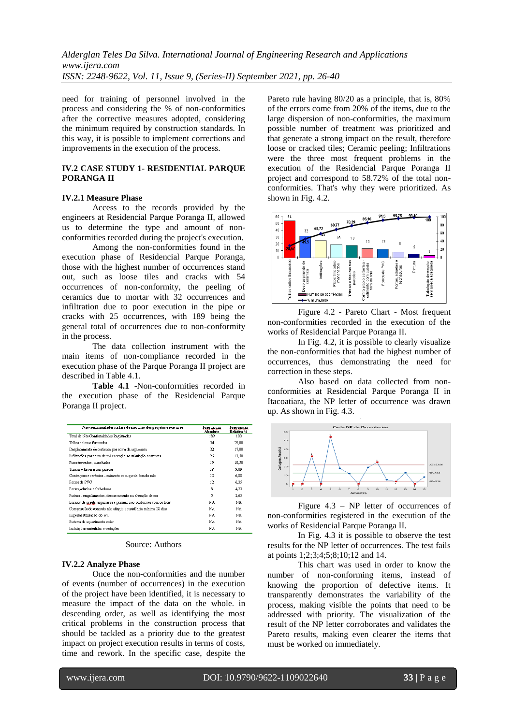need for training of personnel involved in the process and considering the % of non-conformities after the corrective measures adopted, considering the minimum required by construction standards. In this way, it is possible to implement corrections and improvements in the execution of the process.

## **IV.2 CASE STUDY 1- RESIDENTIAL PARQUE PORANGA II**

#### **IV.2.1 Measure Phase**

Access to the records provided by the engineers at Residencial Parque Poranga II, allowed us to determine the type and amount of nonconformities recorded during the project's execution.

Among the non-conformities found in the execution phase of Residencial Parque Poranga, those with the highest number of occurrences stand out, such as loose tiles and cracks with 54 occurrences of non-conformity, the peeling of ceramics due to mortar with 32 occurrences and infiltration due to poor execution in the pipe or cracks with 25 occurrences, with 189 being the general total of occurrences due to non-conformity in the process.

The data collection instrument with the main items of non-compliance recorded in the execution phase of the Parque Poranga II project are described in Table 4.1.

**Table 4.1** -Non-conformities recorded in the execution phase of the Residencial Parque Poranga II project.

| Não conformidades na fase de execução dos projetos e execução     | Freqüência<br>Absoluta | Fregüência<br>Relativa % |
|-------------------------------------------------------------------|------------------------|--------------------------|
| Total de Não Conformidades Registradas                            | 189                    | 100                      |
| Telhas soltas e fissuradas                                        | 54                     | 29,00                    |
| Desplacamento de cerâmica por conta da argamassa                  | 32                     | 17,00                    |
| Infiltrações por conta de má execução na tubulação ou trincas     | 25                     | 13,50                    |
| Pisos trincados, manchados                                        | 19                     | 10,50                    |
| Trincas e fissuras nas paredes                                    | 18                     | 9.89                     |
| Contra piso e cerâmica - caimento com queda fora do ralo          | 13                     | 6,88                     |
| Forms de PVC                                                      | 12                     | 6,35                     |
| Portas, aduelas e fechaduras                                      | 8                      | 4.23                     |
| Pintura - empolamentos, descascamento ou alteração de cor         | 5                      | 2.65                     |
| Ensaios de graute, argamassa e prismas não-conformes com os lotes | NA                     | NA                       |
| Compressão do concreto não atingiu a resistência mínima 28 dias   | NA                     | NA                       |
| Impermeabilização do WC                                           | NA                     | NA                       |
| Sistema de aquecimento solar                                      | NA                     | NA                       |
| Instalações embutidas e vedações                                  | NA                     | NA                       |

Source: Authors

#### **IV.2.2 Analyze Phase**

Once the non-conformities and the number of events (number of occurrences) in the execution of the project have been identified, it is necessary to measure the impact of the data on the whole. in descending order, as well as identifying the most critical problems in the construction process that should be tackled as a priority due to the greatest impact on project execution results in terms of costs, time and rework. In the specific case, despite the

Pareto rule having 80/20 as a principle, that is, 80% of the errors come from 20% of the items, due to the large dispersion of non-conformities, the maximum possible number of treatment was prioritized and that generate a strong impact on the result, therefore loose or cracked tiles; Ceramic peeling; Infiltrations were the three most frequent problems in the execution of the Residencial Parque Poranga II project and correspond to 58.72% of the total nonconformities. That's why they were prioritized. As shown in Fig. 4.2.



Figure 4.2 - Pareto Chart - Most frequent non-conformities recorded in the execution of the works of Residencial Parque Poranga II.

In Fig. 4.2, it is possible to clearly visualize the non-conformities that had the highest number of occurrences, thus demonstrating the need for correction in these steps.

Also based on data collected from nonconformities at Residencial Parque Poranga II in Itacoatiara, the NP letter of occurrence was drawn up. As shown in Fig. 4.3.



Figure 4.3 – NP letter of occurrences of non-conformities registered in the execution of the works of Residencial Parque Poranga II.

In Fig. 4.3 it is possible to observe the test results for the NP letter of occurrences. The test fails at points 1;2;3;4;5;8;10;12 and 14.

This chart was used in order to know the number of non-conforming items, instead of knowing the proportion of defective items. It transparently demonstrates the variability of the process, making visible the points that need to be addressed with priority. The visualization of the result of the NP letter corroborates and validates the Pareto results, making even clearer the items that must be worked on immediately.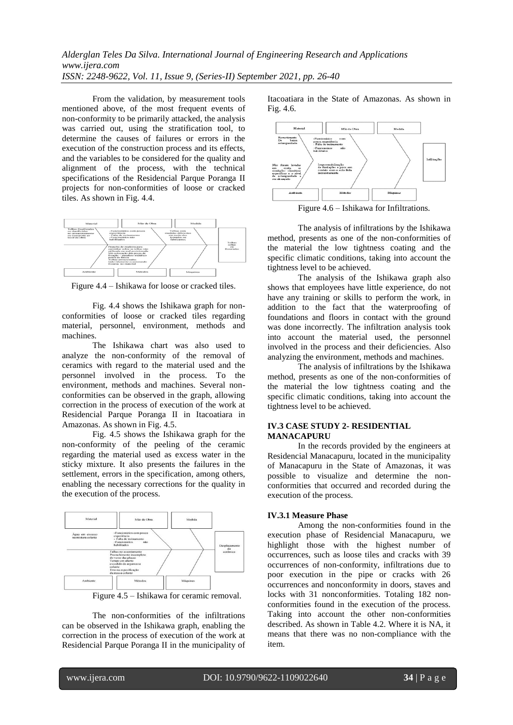From the validation, by measurement tools mentioned above, of the most frequent events of non-conformity to be primarily attacked, the analysis was carried out, using the stratification tool, to determine the causes of failures or errors in the execution of the construction process and its effects, and the variables to be considered for the quality and alignment of the process, with the technical specifications of the Residencial Parque Poranga II projects for non-conformities of loose or cracked tiles. As shown in Fig. 4.4.



Figure 4.4 – Ishikawa for loose or cracked tiles.

Fig. 4.4 shows the Ishikawa graph for nonconformities of loose or cracked tiles regarding material, personnel, environment, methods and machines.

The Ishikawa chart was also used to analyze the non-conformity of the removal of ceramics with regard to the material used and the personnel involved in the process. To the environment, methods and machines. Several nonconformities can be observed in the graph, allowing correction in the process of execution of the work at Residencial Parque Poranga II in Itacoatiara in Amazonas. As shown in Fig. 4.5.

Fig. 4.5 shows the Ishikawa graph for the non-conformity of the peeling of the ceramic regarding the material used as excess water in the sticky mixture. It also presents the failures in the settlement, errors in the specification, among others, enabling the necessary corrections for the quality in the execution of the process.



Figure 4.5 – Ishikawa for ceramic removal.

The non-conformities of the infiltrations can be observed in the Ishikawa graph, enabling the correction in the process of execution of the work at Residencial Parque Poranga II in the municipality of Itacoatiara in the State of Amazonas. As shown in Fig. 4.6.



Figure 4.6 – Ishikawa for Infiltrations.

The analysis of infiltrations by the Ishikawa method, presents as one of the non-conformities of the material the low tightness coating and the specific climatic conditions, taking into account the tightness level to be achieved.

The analysis of the Ishikawa graph also shows that employees have little experience, do not have any training or skills to perform the work, in addition to the fact that the waterproofing of foundations and floors in contact with the ground was done incorrectly. The infiltration analysis took into account the material used, the personnel involved in the process and their deficiencies. Also analyzing the environment, methods and machines.

The analysis of infiltrations by the Ishikawa method, presents as one of the non-conformities of the material the low tightness coating and the specific climatic conditions, taking into account the tightness level to be achieved.

#### **IV.3 CASE STUDY 2- RESIDENTIAL MANACAPURU**

In the records provided by the engineers at Residencial Manacapuru, located in the municipality of Manacapuru in the State of Amazonas, it was possible to visualize and determine the nonconformities that occurred and recorded during the execution of the process.

## **IV.3.1 Measure Phase**

Among the non-conformities found in the execution phase of Residencial Manacapuru, we highlight those with the highest number of occurrences, such as loose tiles and cracks with 39 occurrences of non-conformity, infiltrations due to poor execution in the pipe or cracks with 26 occurrences and nonconformity in doors, staves and locks with 31 nonconformities. Totaling 182 nonconformities found in the execution of the process. Taking into account the other non-conformities described. As shown in Table 4.2. Where it is NA, it means that there was no non-compliance with the item.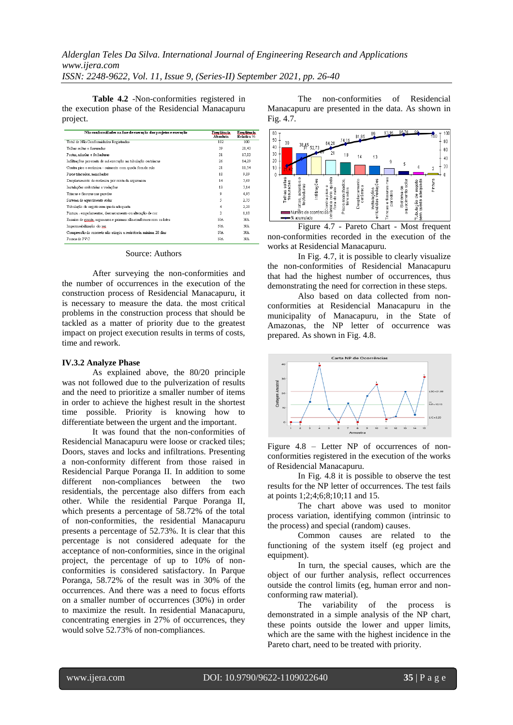**Table 4.2** -Non-conformities registered in the execution phase of the Residencial Manacapuru project.

| Não conformidades na fase de execução dos projetos e execução     | Freu üência<br>Absoluta | Freu üência<br>Relativa % |
|-------------------------------------------------------------------|-------------------------|---------------------------|
| Total de Não Conformidades Registradas                            | 182                     | 100                       |
| Telhas soltas e fissuradas                                        | 39                      | 21,43                     |
| Portas, aduelas e fechaduras                                      | 31                      | 17.03                     |
| Infiltrações por conta de má execução na tubulação ou trincas     | 26                      | 14.29                     |
| Contra piso e cerâmica - caimento com queda fora do ralo          | 21                      | 11,54                     |
| Pisos trincados, manchados                                        | 18                      | 9.89                      |
| Desplacamento de cerâmica por conta da argamassa.                 | 14                      | 7.69                      |
| Instalações embutidas e vedações                                  | 13                      | 7.14                      |
| Trincas e fissuras nas paredes                                    | 9                       | 4.95                      |
| Sistema de aquecimento solar                                      | 5.                      | 2,75                      |
| Tubulação de esgoto sem queda adequada                            | 4                       | 2.20                      |
| Pintura - empolamentos, descascamento ou alteração de cor         | $\overline{2}$          | 1,10                      |
| Ensaios de graute, argamassa e prismas não-conformes com os lotes | NA                      | NA                        |
| Impermeabilização do uno                                          | NA                      | NA                        |
| Compressão do concreto não atingiu a resistência mínima 28 dias   | NA                      | NA                        |
| Forms de PVC                                                      | NA                      | NA                        |

Source: Authors

After surveying the non-conformities and the number of occurrences in the execution of the construction process of Residencial Manacapuru, it is necessary to measure the data. the most critical problems in the construction process that should be tackled as a matter of priority due to the greatest impact on project execution results in terms of costs, time and rework.

#### **IV.3.2 Analyze Phase**

As explained above, the 80/20 principle was not followed due to the pulverization of results and the need to prioritize a smaller number of items in order to achieve the highest result in the shortest time possible. Priority is knowing how to differentiate between the urgent and the important.

It was found that the non-conformities of Residencial Manacapuru were loose or cracked tiles; Doors, staves and locks and infiltrations. Presenting a non-conformity different from those raised in Residencial Parque Poranga II. In addition to some different non-compliances between the two residentials, the percentage also differs from each other. While the residential Parque Poranga II, which presents a percentage of 58.72% of the total of non-conformities, the residential Manacapuru presents a percentage of 52.73%. It is clear that this percentage is not considered adequate for the acceptance of non-conformities, since in the original project, the percentage of up to 10% of nonconformities is considered satisfactory. In Parque Poranga, 58.72% of the result was in 30% of the occurrences. And there was a need to focus efforts on a smaller number of occurrences (30%) in order to maximize the result. In residential Manacapuru, concentrating energies in 27% of occurrences, they would solve 52.73% of non-compliances.

The non-conformities of Residencial Manacapuru are presented in the data. As shown in Fig. 4.7.



Figure 4.7 - Pareto Chart - Most frequent non-conformities recorded in the execution of the works at Residencial Manacapuru.

In Fig. 4.7, it is possible to clearly visualize the non-conformities of Residencial Manacapuru that had the highest number of occurrences, thus demonstrating the need for correction in these steps.

Also based on data collected from nonconformities at Residencial Manacapuru in the municipality of Manacapuru, in the State of Amazonas, the NP letter of occurrence was prepared. As shown in Fig. 4.8.



Figure 4.8 – Letter NP of occurrences of nonconformities registered in the execution of the works of Residencial Manacapuru.

In Fig. 4.8 it is possible to observe the test results for the NP letter of occurrences. The test fails at points 1;2;4;6;8;10;11 and 15.

The chart above was used to monitor process variation, identifying common (intrinsic to the process) and special (random) causes.

Common causes are related to the functioning of the system itself (eg project and equipment).

In turn, the special causes, which are the object of our further analysis, reflect occurrences outside the control limits (eg, human error and nonconforming raw material).

The variability of the process is demonstrated in a simple analysis of the NP chart, these points outside the lower and upper limits, which are the same with the highest incidence in the Pareto chart, need to be treated with priority.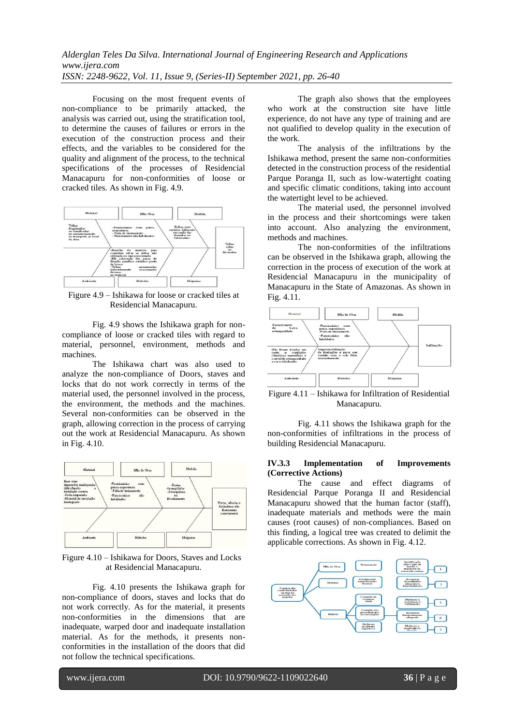Focusing on the most frequent events of non-compliance to be primarily attacked, the analysis was carried out, using the stratification tool, to determine the causes of failures or errors in the execution of the construction process and their effects, and the variables to be considered for the quality and alignment of the process, to the technical specifications of the processes of Residencial Manacapuru for non-conformities of loose or cracked tiles. As shown in Fig. 4.9.



Figure 4.9 – Ishikawa for loose or cracked tiles at Residencial Manacapuru.

Fig. 4.9 shows the Ishikawa graph for noncompliance of loose or cracked tiles with regard to material, personnel, environment, methods and machines.

The Ishikawa chart was also used to analyze the non-compliance of Doors, staves and locks that do not work correctly in terms of the material used, the personnel involved in the process, the environment, the methods and the machines. Several non-conformities can be observed in the graph, allowing correction in the process of carrying out the work at Residencial Manacapuru. As shown in Fig. 4.10.



Figure 4.10 – Ishikawa for Doors, Staves and Locks at Residencial Manacapuru.

Fig. 4.10 presents the Ishikawa graph for non-compliance of doors, staves and locks that do not work correctly. As for the material, it presents non-conformities in the dimensions that are inadequate, warped door and inadequate installation material. As for the methods, it presents nonconformities in the installation of the doors that did not follow the technical specifications.

The graph also shows that the employees who work at the construction site have little experience, do not have any type of training and are not qualified to develop quality in the execution of the work.

The analysis of the infiltrations by the Ishikawa method, present the same non-conformities detected in the construction process of the residential Parque Poranga II, such as low-watertight coating and specific climatic conditions, taking into account the watertight level to be achieved.

The material used, the personnel involved in the process and their shortcomings were taken into account. Also analyzing the environment, methods and machines.

The non-conformities of the infiltrations can be observed in the Ishikawa graph, allowing the correction in the process of execution of the work at Residencial Manacapuru in the municipality of Manacapuru in the State of Amazonas. As shown in Fig. 4.11.



Figure 4.11 – Ishikawa for Infiltration of Residential Manacapuru.

Fig. 4.11 shows the Ishikawa graph for the non-conformities of infiltrations in the process of building Residencial Manacapuru.

#### **IV.3.3 Implementation of Improvements (Corrective Actions)**

The cause and effect diagrams of Residencial Parque Poranga II and Residencial Manacapuru showed that the human factor (staff), inadequate materials and methods were the main causes (root causes) of non-compliances. Based on this finding, a logical tree was created to delimit the applicable corrections. As shown in Fig. 4.12.

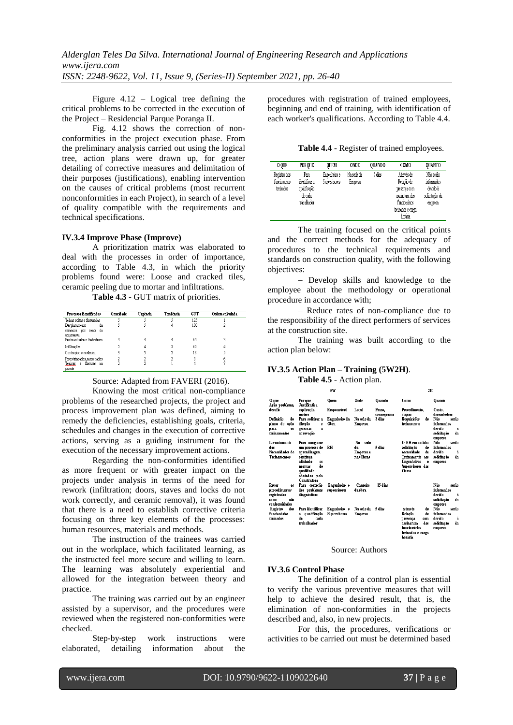Figure 4.12 – Logical tree defining the critical problems to be corrected in the execution of the Project – Residencial Parque Poranga II.

Fig. 4.12 shows the correction of nonconformities in the project execution phase. From the preliminary analysis carried out using the logical tree, action plans were drawn up, for greater detailing of corrective measures and delimitation of their purposes (justifications), enabling intervention on the causes of critical problems (most recurrent nonconformities in each Project), in search of a level of quality compatible with the requirements and technical specifications.

#### **IV.3.4 Improve Phase (Improve)**

A prioritization matrix was elaborated to deal with the processes in order of importance, according to Table 4.3, in which the priority problems found were: Loose and cracked tiles, ceramic peeling due to mortar and infiltrations.

**Table 4.3** - GUT matrix of priorities.

| Processos identificados                                                           | Gravidade | Urgência | Tendência | <b>GUT</b> | Ordem calculada |
|-----------------------------------------------------------------------------------|-----------|----------|-----------|------------|-----------------|
| Telhas soltas e fissuradas                                                        |           |          |           | 125        |                 |
| Desplacamento<br>da<br>cerâmica <del>nor</del> conta da<br>argamassa              |           |          | 4         | 100        |                 |
| Portas aduelas e fechaduras                                                       |           |          |           | 64         |                 |
| Infiltracões                                                                      |           |          |           | 60         |                 |
| Contrapiso e cerâmica                                                             |           |          |           | 18         |                 |
| Pisos trincados, manchados<br>fissuras<br>Tenicas<br>$^{\circ}$ e<br>na<br>parede |           |          |           |            |                 |

## Source: Adapted from FAVERI (2016).

Knowing the most critical non-compliance problems of the researched projects, the project and process improvement plan was defined, aiming to remedy the deficiencies, establishing goals, criteria, schedules and changes in the execution of corrective actions, serving as a guiding instrument for the execution of the necessary improvement actions.

Regarding the non-conformities identified as more frequent or with greater impact on the projects under analysis in terms of the need for rework (infiltration; doors, staves and locks do not work correctly, and ceramic removal), it was found that there is a need to establish corrective criteria focusing on three key elements of the processes: human resources, materials and methods.

The instruction of the trainees was carried out in the workplace, which facilitated learning, as the instructed feel more secure and willing to learn. The learning was absolutely experiential and allowed for the integration between theory and practice.

The training was carried out by an engineer assisted by a supervisor, and the procedures were reviewed when the registered non-conformities were checked.

Step-by-step work instructions were elaborated, detailing information about the procedures with registration of trained employees, beginning and end of training, with identification of each worker's qualifications. According to Table 4.4.

**Table 4.4** - Register of trained employees.

| 0 OUE                                     | <b>PORQUE</b>                                                   | OUEM                         | ONDE                 | QUANDO | COMO                                                                                                       | QUANTO                                                           |
|-------------------------------------------|-----------------------------------------------------------------|------------------------------|----------------------|--------|------------------------------------------------------------------------------------------------------------|------------------------------------------------------------------|
| Registro dos<br>funcionários<br>treinados | Para<br>identificar a<br>qualificação<br>de cada<br>trabalhador | Engenheiro e<br>Supervisores | Na sede da<br>Emmesa | 5 dias | Através de<br>Relação de<br>presença com<br>assinatura dos<br>funcionários<br>treinados e carga<br>horária | Não serão<br>informados<br>devido à<br>solicitação da<br>empresa |

The training focused on the critical points and the correct methods for the adequacy of procedures to the technical requirements and standards on construction quality, with the following objectives:

- Develop skills and knowledge to the employee about the methodology or operational procedure in accordance with;

- Reduce rates of non-compliance due to the responsibility of the direct performers of services at the construction site.

The training was built according to the action plan below:

## **IV.3.5 Action Plan – Training (5W2H)**.

**Table 4.5** - Action plan.

|                                                                                    | 5W                                                                                                                                                     |                                     |                                            |                      | 2H                                                                                                                                             |                                                                            |  |
|------------------------------------------------------------------------------------|--------------------------------------------------------------------------------------------------------------------------------------------------------|-------------------------------------|--------------------------------------------|----------------------|------------------------------------------------------------------------------------------------------------------------------------------------|----------------------------------------------------------------------------|--|
| Ouve<br>Ação problema,                                                             | Por a ue<br><b>Justificativa</b>                                                                                                                       | <b>Ouem</b>                         | Onde                                       | Ouando               | Como                                                                                                                                           | <b>Ouanto</b>                                                              |  |
| desafia                                                                            | exa licação.<br>motivo                                                                                                                                 | Responsável                         | Lacal                                      | Praze.<br>сгопостата | Procedimento.<br>etan as                                                                                                                       | Custo.<br>desembolsos                                                      |  |
| Definicão<br>de<br>plano de ação<br>para<br>0S<br>tremamentos                      | Para solicitar a<br>direção<br>e<br>gerencia<br>$\mathbf{a}$<br>ap rovação                                                                             | Engenheiro da<br>Obra               | Na sede da<br><b>Empresa</b>               | 3 dias               | Requisições<br>de<br>tremamento                                                                                                                | Nän<br>serän<br>informados<br>dovido<br>à<br>solicitação<br>da<br>emp resa |  |
| Levantamento<br>das<br>Necessidades de<br><b>Tremamentos</b>                       | Para assegurar<br>um processo de<br>ap rend <i>i</i> zagem<br>contínua<br>alinhado<br>as<br>de.<br>normas<br>qualidade<br>adotadas pela<br>Construtora | RH                                  | Na<br>sede<br>da<br>Empresa e<br>nas Ohras | 5 dias               | O RH encaminha<br>solicitação<br>de<br>de.<br>necessidade<br>Tremamento<br>305<br><b>Engenheiros</b><br>e.<br>Supervisores das<br><b>Obras</b> | serão<br>Não<br>informados<br>devido<br>à<br>da<br>selicitação<br>empresa  |  |
| Rever<br><b>OS</b><br>procedimentos<br>registrados<br>não<br>como<br>conformidades | Рага согтесаю<br>dos problemas<br>diagnosticos                                                                                                         | Engenheiro e<br>supervisores        | Canteiro<br>dachra                         | 15 dias              |                                                                                                                                                | Não<br>serão<br>informados<br>devido<br>à<br>solicitação<br>da<br>empresa  |  |
| dos<br>Registro<br>funcionários<br>treinados                                       | Para identificar<br>qualificação<br>a.<br>de<br>cada<br>trahalhador                                                                                    | Engenheiro e<br><b>Supervisores</b> | Na sede da<br>Empresa                      | 5 dias               | de.<br>A través<br>Rebrão<br>de.<br>presença<br>com<br>des<br>assinatura<br>funcionários<br>tremados e carga                                   | Não<br>serão<br>informados<br>devide<br>à<br>solicitação<br>da<br>empresa  |  |

#### Source: Authors

#### **IV.3.6 Control Phase**

The definition of a control plan is essential to verify the various preventive measures that will help to achieve the desired result, that is, the elimination of non-conformities in the projects described and, also, in new projects.

For this, the procedures, verifications or activities to be carried out must be determined based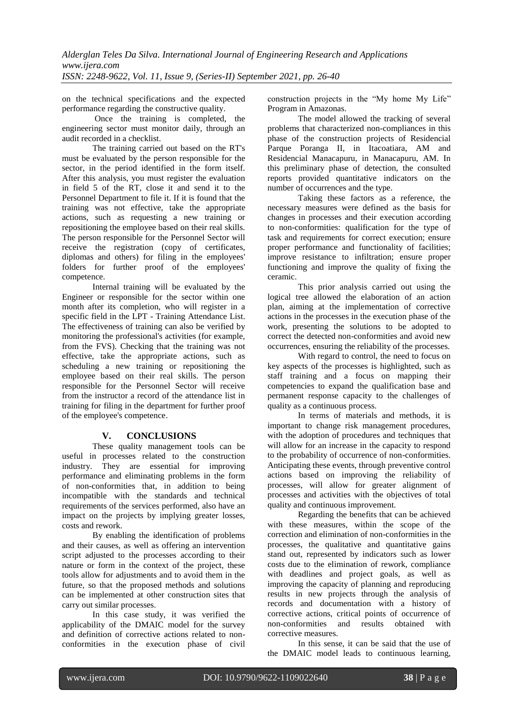on the technical specifications and the expected performance regarding the constructive quality.

Once the training is completed, the engineering sector must monitor daily, through an audit recorded in a checklist.

The training carried out based on the RT's must be evaluated by the person responsible for the sector, in the period identified in the form itself. After this analysis, you must register the evaluation in field 5 of the RT, close it and send it to the Personnel Department to file it. If it is found that the training was not effective, take the appropriate actions, such as requesting a new training or repositioning the employee based on their real skills. The person responsible for the Personnel Sector will receive the registration (copy of certificates, diplomas and others) for filing in the employees' folders for further proof of the employees' competence.

Internal training will be evaluated by the Engineer or responsible for the sector within one month after its completion, who will register in a specific field in the LPT - Training Attendance List. The effectiveness of training can also be verified by monitoring the professional's activities (for example, from the FVS). Checking that the training was not effective, take the appropriate actions, such as scheduling a new training or repositioning the employee based on their real skills. The person responsible for the Personnel Sector will receive from the instructor a record of the attendance list in training for filing in the department for further proof of the employee's competence.

# **V. CONCLUSIONS**

These quality management tools can be useful in processes related to the construction industry. They are essential for improving performance and eliminating problems in the form of non-conformities that, in addition to being incompatible with the standards and technical requirements of the services performed, also have an impact on the projects by implying greater losses, costs and rework.

By enabling the identification of problems and their causes, as well as offering an intervention script adjusted to the processes according to their nature or form in the context of the project, these tools allow for adjustments and to avoid them in the future, so that the proposed methods and solutions can be implemented at other construction sites that carry out similar processes.

In this case study, it was verified the applicability of the DMAIC model for the survey and definition of corrective actions related to nonconformities in the execution phase of civil

construction projects in the "My home My Life" Program in Amazonas.

The model allowed the tracking of several problems that characterized non-compliances in this phase of the construction projects of Residencial Parque Poranga II, in Itacoatiara, AM and Residencial Manacapuru, in Manacapuru, AM. In this preliminary phase of detection, the consulted reports provided quantitative indicators on the number of occurrences and the type.

Taking these factors as a reference, the necessary measures were defined as the basis for changes in processes and their execution according to non-conformities: qualification for the type of task and requirements for correct execution; ensure proper performance and functionality of facilities; improve resistance to infiltration; ensure proper functioning and improve the quality of fixing the ceramic.

This prior analysis carried out using the logical tree allowed the elaboration of an action plan, aiming at the implementation of corrective actions in the processes in the execution phase of the work, presenting the solutions to be adopted to correct the detected non-conformities and avoid new occurrences, ensuring the reliability of the processes.

With regard to control, the need to focus on key aspects of the processes is highlighted, such as staff training and a focus on mapping their competencies to expand the qualification base and permanent response capacity to the challenges of quality as a continuous process.

In terms of materials and methods, it is important to change risk management procedures, with the adoption of procedures and techniques that will allow for an increase in the capacity to respond to the probability of occurrence of non-conformities. Anticipating these events, through preventive control actions based on improving the reliability of processes, will allow for greater alignment of processes and activities with the objectives of total quality and continuous improvement.

Regarding the benefits that can be achieved with these measures, within the scope of the correction and elimination of non-conformities in the processes, the qualitative and quantitative gains stand out, represented by indicators such as lower costs due to the elimination of rework, compliance with deadlines and project goals, as well as improving the capacity of planning and reproducing results in new projects through the analysis of records and documentation with a history of corrective actions, critical points of occurrence of non-conformities and results obtained with corrective measures.

In this sense, it can be said that the use of the DMAIC model leads to continuous learning,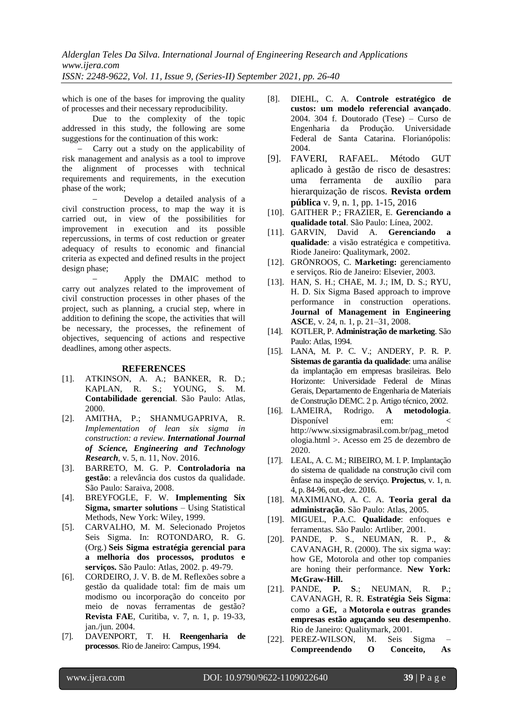which is one of the bases for improving the quality of processes and their necessary reproducibility.

Due to the complexity of the topic addressed in this study, the following are some suggestions for the continuation of this work:

 Carry out a study on the applicability of risk management and analysis as a tool to improve the alignment of processes with technical requirements and requirements, in the execution phase of the work;

 Develop a detailed analysis of a civil construction process, to map the way it is carried out, in view of the possibilities for improvement in execution and its possible repercussions, in terms of cost reduction or greater adequacy of results to economic and financial criteria as expected and defined results in the project design phase;

 Apply the DMAIC method to carry out analyzes related to the improvement of civil construction processes in other phases of the project, such as planning, a crucial step, where in addition to defining the scope, the activities that will be necessary, the processes, the refinement of objectives, sequencing of actions and respective deadlines, among other aspects.

#### **REFERENCES**

- [1]. ATKINSON, A. A.; BANKER, R. D.; KAPLAN, R. S.; YOUNG, S. M. **Contabilidade gerencial**. São Paulo: Atlas, 2000.
- [2]. AMITHA, P.; SHANMUGAPRIVA, R. *Implementation of lean six sigma in construction: a review. International Journal of Science, Engineering and Technology Research*, v. 5, n. 11, Nov. 2016.
- [3]. BARRETO, M. G. P. **Controladoria na gestão**: a relevância dos custos da qualidade. São Paulo: Saraiva, 2008.
- [4]. BREYFOGLE, F. W. **Implementing Six Sigma, smarter solutions** – Using Statistical Methods, New York: Wiley, 1999.
- [5]. CARVALHO, M. M. Selecionado Projetos Seis Sigma. In: ROTONDARO, R. G. (Org.) **Seis Sigma estratégia gerencial para a melhoria dos processos, produtos e serviços.** São Paulo: Atlas, 2002. p. 49-79.
- [6]. CORDEIRO, J. V. B. de M. Reflexões sobre a gestão da qualidade total: fim de mais um modismo ou incorporação do conceito por meio de novas ferramentas de gestão? **Revista FAE**, Curitiba, v. 7, n. 1, p. 19-33, jan./jun. 2004.
- [7]. DAVENPORT, T. H. **Reengenharia de processos**. Rio de Janeiro: Campus, 1994.
- [8]. DIEHL, C. A. **Controle estratégico de custos: um modelo referencial avançado**. 2004. 304 f. Doutorado (Tese) – Curso de Engenharia da Produção. Universidade Federal de Santa Catarina. Florianópolis: 2004.
- [9]. FAVERI, RAFAEL. Método GUT aplicado à gestão de risco de desastres: uma ferramenta de auxílio para hierarquização de riscos. **Revista ordem pública** v. 9, n. 1, pp. 1-15, 2016
- [10]. GAITHER P.; FRAZIER, E. **Gerenciando a qualidade total**. São Paulo: Línea, 2002.
- [11]. GARVIN, David A. **Gerenciando a qualidade**: a visão estratégica e competitiva. Riode Janeiro: Qualitymark, 2002.
- [12]. GRÖNROOS, C. **Marketing:** gerenciamento e serviços. Rio de Janeiro: Elsevier, 2003.
- [13]. HAN, S. H.; CHAE, M. J.; IM, D. S.; RYU, H. D. Six Sigma Based approach to improve performance in construction operations. **Journal of Management in Engineering ASCE**, v. 24, n. 1, p. 21–31, 2008.
- [14]. KOTLER, P. **Administração de marketing**. São Paulo: Atlas, 1994.
- [15]. LANA, M. P. C. V.; ANDERY, P. R. P. **Sistemas de garantia da qualidade**: uma análise da implantação em empresas brasileiras. Belo Horizonte: Universidade Federal de Minas Gerais, Departamento de Engenharia de Materiais de Construção DEMC. 2 p. Artigo técnico, 2002.
- [16]. LAMEIRA, Rodrigo. **A metodologia**. Disponível em: http://www.sixsigmabrasil.com.br/pag\_metod ologia.html >. Acesso em 25 de dezembro de 2020.
- [17]. LEAL, A. C. M.; RIBEIRO, M. I. P. Implantação do sistema de qualidade na construção civil com ênfase na inspeção de serviço. **Projectus**, v. 1, n. 4, p. 84-96, out.-dez. 2016.
- [18]. MAXIMIANO, A. C. A. **Teoria geral da administração**. São Paulo: Atlas, 2005.
- [19]. MIGUEL, P.A.C. **Qualidade**: enfoques e ferramentas. São Paulo: Artliber, 2001.
- [20]. PANDE, P. S., NEUMAN, R. P., & CAVANAGH, R. (2000). The six sigma way: how GE, Motorola and other top companies are honing their performance. **New York: McGraw-Hill.**
- [21]. PANDE, **P. S**.; NEUMAN, R. P.; CAVANAGH, R. R. **Estratégia Seis Sigma**: como a **GE,** a **Motorola e outras grandes empresas estão aguçando seu desempenho**. Rio de Janeiro: Qualitymark, 2001.
- [22]. PEREZ-WILSON, M. Seis Sigma **Compreendendo O Conceito, As**